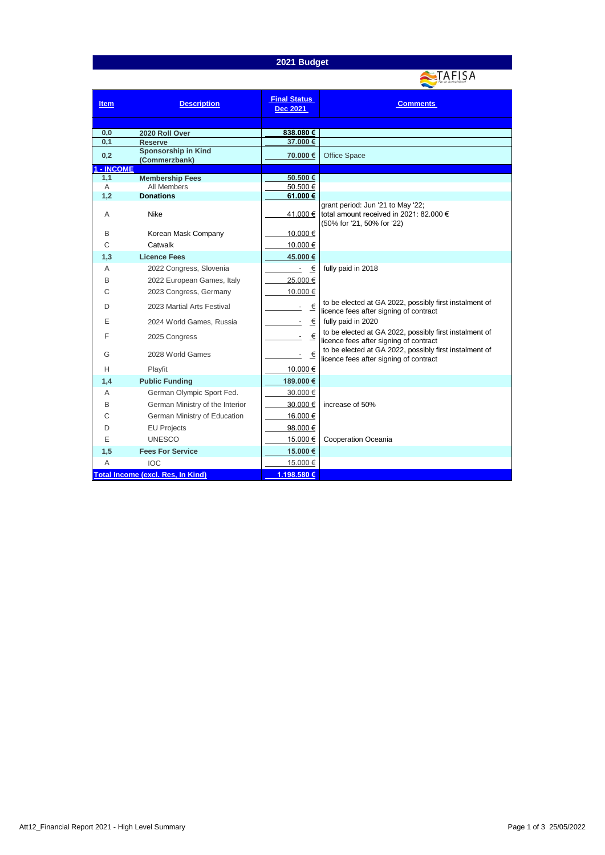## **2021 Budget**



| <b>Item</b>                              | <b>Description</b>                           | <b>Final Status</b><br><b>Dec 2021</b> | <b>Comments</b>                                                                                            |
|------------------------------------------|----------------------------------------------|----------------------------------------|------------------------------------------------------------------------------------------------------------|
|                                          |                                              |                                        |                                                                                                            |
| 0,0                                      | 2020 Roll Over                               | 838.080€                               |                                                                                                            |
| 0.1                                      | <b>Reserve</b><br><b>Sponsorship in Kind</b> | 37.000 €                               |                                                                                                            |
| 0,2                                      | (Commerzbank)                                | 70.000 €                               | <b>Office Space</b>                                                                                        |
| - INCOME                                 |                                              |                                        |                                                                                                            |
| 1,1                                      | <b>Membership Fees</b>                       | 50.500€                                |                                                                                                            |
| Α                                        | <b>All Members</b>                           | 50.500€                                |                                                                                                            |
| 1,2                                      | <b>Donations</b>                             | 61.000€                                |                                                                                                            |
| A                                        | <b>Nike</b>                                  | 41.000 €                               | grant period: Jun '21 to May '22;<br>total amount received in 2021: 82.000 €<br>(50% for '21, 50% for '22) |
| B                                        | Korean Mask Company                          | 10.000€                                |                                                                                                            |
| C                                        | Catwalk                                      | 10.000 €                               |                                                                                                            |
| 1,3                                      | <b>Licence Fees</b>                          | 45.000€                                |                                                                                                            |
| A                                        | 2022 Congress, Slovenia                      | $\epsilon$                             | fully paid in 2018                                                                                         |
| B                                        | 2022 European Games, Italy                   | 25.000€                                |                                                                                                            |
| С                                        | 2023 Congress, Germany                       | 10.000 €                               |                                                                                                            |
| D                                        | 2023 Martial Arts Festival                   | €                                      | to be elected at GA 2022, possibly first instalment of<br>licence fees after signing of contract           |
| Е                                        | 2024 World Games, Russia                     | €                                      | fully paid in 2020                                                                                         |
| F                                        | 2025 Congress                                | €<br>$\overline{\phantom{a}}$          | to be elected at GA 2022, possibly first instalment of<br>licence fees after signing of contract           |
| G                                        | 2028 World Games                             | $\overline{\epsilon}$                  | to be elected at GA 2022, possibly first instalment of<br>licence fees after signing of contract           |
| н                                        | Playfit                                      | 10.000 €                               |                                                                                                            |
| 1,4                                      | <b>Public Funding</b>                        | 189.000 €                              |                                                                                                            |
| A                                        | German Olympic Sport Fed.                    | 30.000 €                               |                                                                                                            |
| B                                        | German Ministry of the Interior              | 30.000 €                               | increase of 50%                                                                                            |
| C                                        | German Ministry of Education                 | 16.000€                                |                                                                                                            |
| D                                        | <b>EU Projects</b>                           | 98.000€                                |                                                                                                            |
| Ε                                        | <b>UNESCO</b>                                | 15.000 €                               | Cooperation Oceania                                                                                        |
| 1,5                                      | <b>Fees For Service</b>                      | 15.000 €                               |                                                                                                            |
| $\overline{A}$                           | <b>IOC</b>                                   | 15.000€                                |                                                                                                            |
| <b>Total Income (excl. Res, In Kind)</b> |                                              | 1.198.580 €                            |                                                                                                            |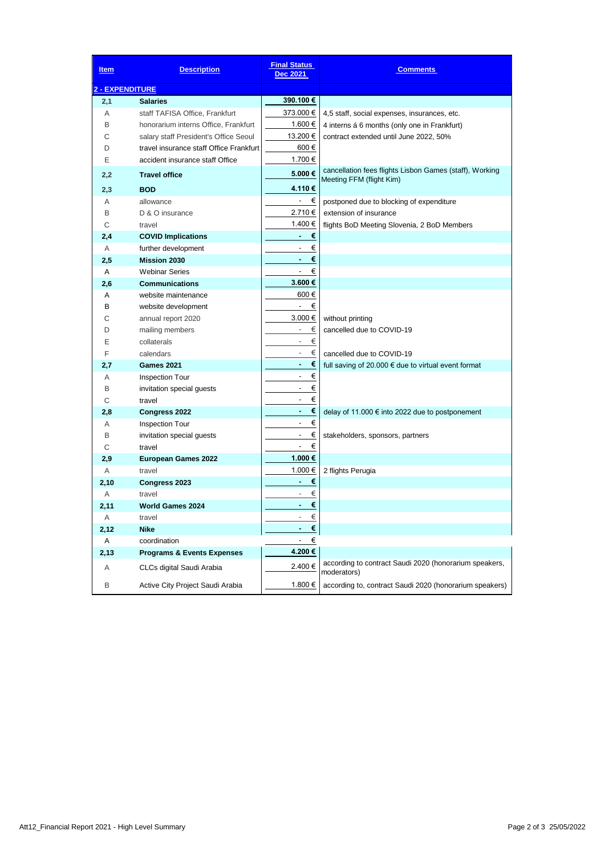| <u>Item</u>            | <b>Description</b>                      | <b>Final Status</b><br>Dec 2021 | <b>Comments</b>                                                                     |
|------------------------|-----------------------------------------|---------------------------------|-------------------------------------------------------------------------------------|
| <b>2 - EXPENDITURE</b> |                                         |                                 |                                                                                     |
| 2,1                    | Salaries                                | 390.100 €                       |                                                                                     |
| A                      | staff TAFISA Office, Frankfurt          | 373.000 €                       | 4,5 staff, social expenses, insurances, etc.                                        |
| В                      | honorarium interns Office, Frankfurt    | 1.600 €                         | 4 interns á 6 months (only one in Frankfurt)                                        |
| С                      | salary staff President's Office Seoul   | 13.200 €                        | contract extended until June 2022, 50%                                              |
| D                      | travel insurance staff Office Frankfurt | 600€                            |                                                                                     |
| Ε                      | accident insurance staff Office         | 1.700 €                         |                                                                                     |
| 2,2                    | <b>Travel office</b>                    | 5.000€                          | cancellation fees flights Lisbon Games (staff), Working<br>Meeting FFM (flight Kim) |
| 2,3                    | <b>BOD</b>                              | 4.110 €                         |                                                                                     |
| A                      | allowance                               | €                               | postponed due to blocking of expenditure                                            |
| В                      | D & O insurance                         | 2.710 €                         | extension of insurance                                                              |
| C                      | travel                                  | 1.400 €                         | flights BoD Meeting Slovenia, 2 BoD Members                                         |
| 2,4                    | <b>COVID Implications</b>               | €<br>٠                          |                                                                                     |
| A                      | further development                     | €                               |                                                                                     |
| 2,5                    | <b>Mission 2030</b>                     | €<br>٠                          |                                                                                     |
| A                      | <b>Webinar Series</b>                   | €<br>$\overline{\phantom{a}}$   |                                                                                     |
| 2,6                    | <b>Communications</b>                   | 3.600 €                         |                                                                                     |
| A                      | website maintenance                     | 600€                            |                                                                                     |
| в                      | website development                     | $\blacksquare$<br>€             |                                                                                     |
| С                      | annual report 2020                      | $3.000 \in$                     | without printing                                                                    |
| D                      | mailing members                         | €<br>$\overline{\phantom{a}}$   | cancelled due to COVID-19                                                           |
| Е                      | collaterals                             | €<br>$\overline{\phantom{a}}$   |                                                                                     |
| F                      | calendars                               | €<br>$\overline{\phantom{a}}$   | cancelled due to COVID-19                                                           |
| 2,7                    | <b>Games 2021</b>                       | €                               | full saving of 20.000 $\epsilon$ due to virtual event format                        |
| Α                      | <b>Inspection Tour</b>                  | €<br>$\overline{a}$             |                                                                                     |
| B                      | invitation special guests               | €<br>$\overline{\phantom{a}}$   |                                                                                     |
| С                      | travel                                  | €<br>$\overline{\phantom{a}}$   |                                                                                     |
| 2,8                    | Congress 2022                           | €<br>٠                          | delay of 11.000 € into 2022 due to postponement                                     |
| A                      | <b>Inspection Tour</b>                  | €<br>$\overline{\phantom{a}}$   |                                                                                     |
| B                      | invitation special guests               | $\blacksquare$<br>€             | stakeholders, sponsors, partners                                                    |
| С                      | travel                                  | $\overline{\phantom{a}}$<br>€   |                                                                                     |
| 2,9                    | <b>European Games 2022</b>              | 1.000€                          |                                                                                     |
| Α                      | travel                                  | 1.000 €                         | 2 flights Perugia                                                                   |
| 2,10                   | Congress 2023                           | €<br>٠                          |                                                                                     |
| Α                      | travel                                  | €                               |                                                                                     |
| 2.11                   | <b>World Games 2024</b>                 | €<br>۰                          |                                                                                     |
| Α                      | travel                                  | €                               |                                                                                     |
| 2,12                   | <b>Nike</b>                             | $\pmb{\epsilon}$                |                                                                                     |
| Α                      | coordination                            | €                               |                                                                                     |
| 2,13                   | <b>Programs &amp; Events Expenses</b>   | 4.200€                          |                                                                                     |
| Α                      | CLCs digital Saudi Arabia               | 2.400€                          | according to contract Saudi 2020 (honorarium speakers,<br>moderators)               |
| В                      | Active City Project Saudi Arabia        | 1.800 €                         | according to, contract Saudi 2020 (honorarium speakers)                             |